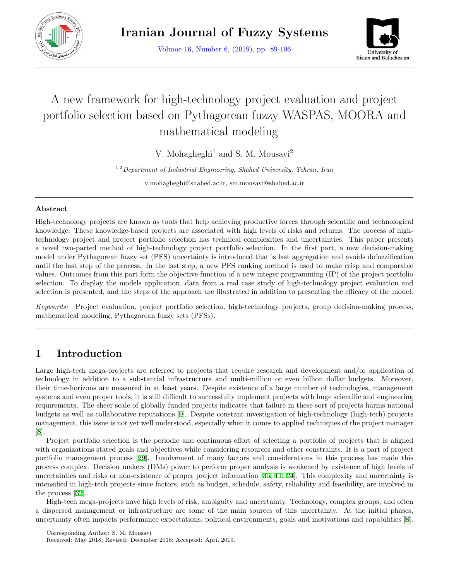

Volume 16, Number 6, (2019), pp. 89-106



# A new framework for high-technology project evaluation and project portfolio selection based on Pythagorean fuzzy WASPAS, MOORA and mathematical modeling

V. Mohagheghi<sup>1</sup> and S. M. Mousavi<sup>2</sup>

1,2*Department of Industrial Engineering, Shahed University, Tehran, Iran*

v.mohagheghi@shahed.ac.ir, sm.mousavi@shahed.ac.ir

### **Abstract**

High-technology projects are known as tools that help achieving productive forces through scientific and technological knowledge. These knowledge-based projects are associated with high levels of risks and returns. The process of hightechnology project and project portfolio selection has technical complexities and uncertainties. This paper presents a novel two-parted method of high-technology project portfolio selection. In the first part, a new decision-making model under Pythagorean fuzzy set (PFS) uncertainty is introduced that is last aggregation and avoids defuzzification until the last step of the process. In the last step, a new PFS ranking method is used to make crisp and comparable values. Outcomes from this part form the objective function of a new integer programming (IP) of the project portfolio selection. To display the models application, data from a real case study of high-technology project evaluation and selection is presented, and the steps of the approach are illustrated in addition to presenting the efficacy of the model.

*Keywords:* Project evaluation, project portfolio selection, high-technology projects, group decision-making process, mathematical modeling, Pythagorean fuzzy sets (PFSs).

# **1 Introduction**

Large high-tech mega-projects are referred to projects that require research and development and/or application of technology in addition to a substantial infrastructure and multi-million or even billion dollar budgets. Moreover, their time-horizons are measured in at least years. Despite existence of a large number of technologies, management systems and even proper tools, it is still difficult to successfully implement projects with huge scientific and engineering requirements. The sheer scale of globally funded projects indicates that failure in these sort of projects harms national budgets as well as collaborative reputations [[9\]](#page-15-0). Despite constant investigation of high-technology (high-tech) projects management, this issue is not yet well understood, especially when it comes to applied techniques of the project manager [[8\]](#page-15-1).

Project portfolio selection is the periodic and continuous effort of selecting a portfolio of projects that is aligned with organizations stated goals and objectives while considering resources and other constraints. It is a part of project portfolio management process [\[29](#page-16-0)]. Involvement of many factors and considerations in this process has made this process complex. Decision makers (DMs) power to perform proper analysis is weakened by existence of high levels of uncertainties and risks or non-existence of proper project information [[35,](#page-17-0) [11,](#page-16-1) [24\]](#page-16-2). This complexity and uncertainty is intensified in high-tech projects since factors, such as budget, schedule, safety, reliability and feasibility, are involved in the process [[32\]](#page-16-3).

High-tech mega-projects have high levels of risk, ambiguity and uncertainty. Technology, complex groups, and often a dispersed management or infrastructure are some of the main sources of this uncertainty. At the initial phases, uncertainty often impacts performance expectations, political environments, goals and motivations and capabilities [[8](#page-15-1)].

Corresponding Author: S. M. Mousavi

Received: May 2018; Revised: December 2018; Accepted: April 2019.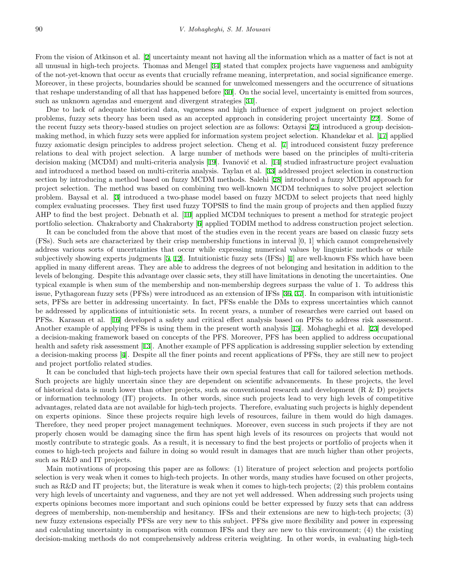From the vision of Atkinson et al. [\[2](#page-15-2)] uncertainty meant not having all the information which as a matter of fact is not at all unusual in high-tech projects. Thomas and Mengel [\[34](#page-16-4)] stated that complex projects have vagueness and ambiguity of the not-yet-known that occur as events that crucially reframe meaning, interpretation, and social significance emerge. Moreover, in these projects, boundaries should be scanned for unwelcomed messengers and the occurrence of situations that reshape understanding of all that has happened before [[30\]](#page-16-5). On the social level, uncertainty is emitted from sources, such as unknown agendas and emergent and divergent strategies [[31](#page-16-6)].

Due to lack of adequate historical data, vagueness and high influence of expert judgment on project selection problems, fuzzy sets theory has been used as an accepted approach in considering project uncertainty [[22\]](#page-16-7). Some of the recent fuzzy sets theory-based studies on project selection are as follows: Oztaysi [[25](#page-16-8)] introduced a group decisionmaking method, in which fuzzy sets were applied for information system project selection. Khandekar et al. [[17\]](#page-16-9) applied fuzzy axiomatic design principles to address project selection. Cheng et al. [[7](#page-15-3)] introduced consistent fuzzy preference relations to deal with project selection. A large number of methods were based on the principles of multi-criteria decision making (MCDM) and multi-criteria analysis [[19](#page-16-10)]. Ivanović et al. [\[14](#page-16-11)] studied infrastructure project evaluation and introduced a method based on multi-criteria analysis. Taylan et al. [[33](#page-16-12)] addressed project selection in construction section by introducing a method based on fuzzy MCDM methods. Salehi [[28\]](#page-16-13) introduced a fuzzy MCDM approach for project selection. The method was based on combining two well-known MCDM techniques to solve project selection problem. Baysal et al. [[3\]](#page-15-4) introduced a two-phase model based on fuzzy MCDM to select projects that need highly complex evaluating processes. They first used fuzzy TOPSIS to find the main group of projects and then applied fuzzy AHP to find the best project. Debnath et al. [[10](#page-15-5)] applied MCDM techniques to present a method for strategic project portfolio selection. Chakraborty and Chakraborty [[6\]](#page-15-6) applied TODIM method to address construction project selection.

It can be concluded from the above that most of the studies even in the recent years are based on classic fuzzy sets (FSs). Such sets are characterized by their crisp membership functions in interval [0, 1] which cannot comprehensively address various sorts of uncertainties that occur while expressing numerical values by linguistic methods or while subjectively showing experts judgments [\[5](#page-15-7), [12](#page-16-14)]. Intuitionistic fuzzy sets (IFSs) [\[1](#page-15-8)] are well-known FSs which have been applied in many different areas. They are able to address the degrees of not belonging and hesitation in addition to the levels of belonging. Despite this advantage over classic sets, they still have limitations in denoting the uncertainties. One typical example is when sum of the membership and non-membership degrees surpass the value of 1. To address this issue, Pythagorean fuzzy sets (PFSs) were introduced as an extension of IFSs [[36,](#page-17-1) [37\]](#page-17-2). In comparison with intuitionistic sets, PFSs are better in addressing uncertainty. In fact, PFSs enable the DMs to express uncertainties which cannot be addressed by applications of intuitionistic sets. In recent years, a number of researches were carried out based on PFSs. Karasan et al. [[16](#page-16-15)] developed a safety and critical effect analysis based on PFSs to address risk assessment. Another example of applying PFSs is using them in the present worth analysis [[15\]](#page-16-16). Mohagheghi et al. [[23\]](#page-16-17) developed a decision-making framework based on concepts of the PFS. Moreover, PFS has been applied to address occupational health and safety risk assessment [\[13](#page-16-18)]. Another example of PFS application is addressing supplier selection by extending a decision-making process [\[4](#page-15-9)]. Despite all the finer points and recent applications of PFSs, they are still new to project and project portfolio related studies.

It can be concluded that high-tech projects have their own special features that call for tailored selection methods. Such projects are highly uncertain since they are dependent on scientific advancements. In these projects, the level of historical data is much lower than other projects, such as conventional research and development (R & D) projects or information technology (IT) projects. In other words, since such projects lead to very high levels of competitive advantages, related data are not available for high-tech projects. Therefore, evaluating such projects is highly dependent on experts opinions. Since these projects require high levels of resources, failure in them would do high damages. Therefore, they need proper project management techniques. Moreover, even success in such projects if they are not properly chosen would be damaging since the firm has spent high levels of its resources on projects that would not mostly contribute to strategic goals. As a result, it is necessary to find the best projects or portfolio of projects when it comes to high-tech projects and failure in doing so would result in damages that are much higher than other projects, such as R&D and IT projects.

Main motivations of proposing this paper are as follows: (1) literature of project selection and projects portfolio selection is very weak when it comes to high-tech projects. In other words, many studies have focused on other projects, such as R&D and IT projects; but, the literature is weak when it comes to high-tech projects; (2) this problem contains very high levels of uncertainty and vagueness, and they are not yet well addressed. When addressing such projects using experts opinions becomes more important and such opinions could be better expressed by fuzzy sets that can address degrees of membership, non-membership and hesitancy. IFSs and their extensions are new to high-tech projects; (3) new fuzzy extensions especially PFSs are very new to this subject. PFSs give more flexibility and power in expressing and calculating uncertainty in comparison with common IFSs and they are new to this environment; (4) the existing decision-making methods do not comprehensively address criteria weighting. In other words, in evaluating high-tech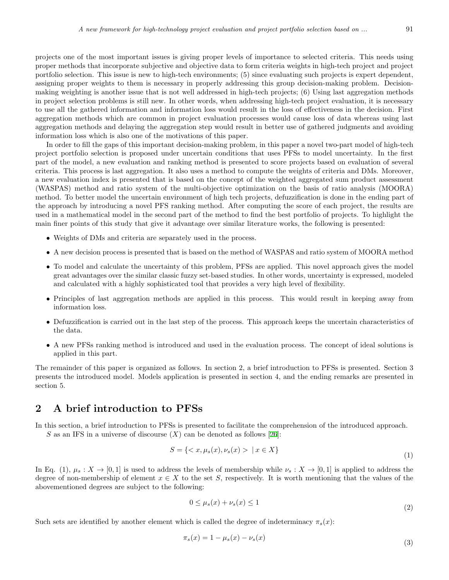projects one of the most important issues is giving proper levels of importance to selected criteria. This needs using proper methods that incorporate subjective and objective data to form criteria weights in high-tech project and project portfolio selection. This issue is new to high-tech environments; (5) since evaluating such projects is expert dependent, assigning proper weights to them is necessary in properly addressing this group decision-making problem. Decisionmaking weighting is another issue that is not well addressed in high-tech projects; (6) Using last aggregation methods in project selection problems is still new. In other words, when addressing high-tech project evaluation, it is necessary to use all the gathered information and information loss would result in the loss of effectiveness in the decision. First aggregation methods which are common in project evaluation processes would cause loss of data whereas using last aggregation methods and delaying the aggregation step would result in better use of gathered judgments and avoiding information loss which is also one of the motivations of this paper.

In order to fill the gaps of this important decision-making problem, in this paper a novel two-part model of high-tech project portfolio selection is proposed under uncertain conditions that uses PFSs to model uncertainty. In the first part of the model, a new evaluation and ranking method is presented to score projects based on evaluation of several criteria. This process is last aggregation. It also uses a method to compute the weights of criteria and DMs. Moreover, a new evaluation index is presented that is based on the concept of the weighted aggregated sum product assessment (WASPAS) method and ratio system of the multi-objective optimization on the basis of ratio analysis (MOORA) method. To better model the uncertain environment of high tech projects, defuzzification is done in the ending part of the approach by introducing a novel PFS ranking method. After computing the score of each project, the results are used in a mathematical model in the second part of the method to find the best portfolio of projects. To highlight the main finer points of this study that give it advantage over similar literature works, the following is presented:

- Weights of DMs and criteria are separately used in the process.
- A new decision process is presented that is based on the method of WASPAS and ratio system of MOORA method
- To model and calculate the uncertainty of this problem, PFSs are applied. This novel approach gives the model great advantages over the similar classic fuzzy set-based studies. In other words, uncertainty is expressed, modeled and calculated with a highly sophisticated tool that provides a very high level of flexibility.
- Principles of last aggregation methods are applied in this process. This would result in keeping away from information loss.
- Defuzzification is carried out in the last step of the process. This approach keeps the uncertain characteristics of the data.
- A new PFSs ranking method is introduced and used in the evaluation process. The concept of ideal solutions is applied in this part.

The remainder of this paper is organized as follows. In section 2, a brief introduction to PFSs is presented. Section 3 presents the introduced model. Models application is presented in section 4, and the ending remarks are presented in section 5.

# **2 A brief introduction to PFSs**

In this section, a brief introduction to PFSs is presented to facilitate the comprehension of the introduced approach.

*S* as an IFS in a universe of discourse  $(X)$  can be denoted as follows [\[26](#page-16-19)]:

$$
S = \{ \langle x, \mu_s(x), \nu_s(x) \rangle \mid x \in X \}
$$
\n(1)

In Eq. (1),  $\mu_s: X \to [0,1]$  is used to address the levels of membership while  $\nu_s: X \to [0,1]$  is applied to address the degree of non-membership of element  $x \in X$  to the set *S*, respectively. It is worth mentioning that the values of the abovementioned degrees are subject to the following:

$$
0 \le \mu_s(x) + \nu_s(x) \le 1\tag{2}
$$

Such sets are identified by another element which is called the degree of indeterminacy  $\pi_s(x)$ :

$$
\pi_s(x) = 1 - \mu_s(x) - \nu_s(x) \tag{3}
$$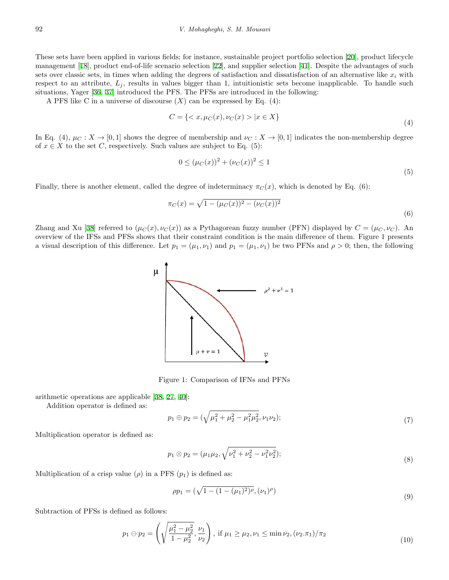These sets have been applied in various fields; for instance, sustainable project portfolio selection [[20\]](#page-16-20), product lifecycle management [\[18](#page-16-21)], product end-of-life scenario selection [[22](#page-16-7)], and supplier selection [\[41](#page-17-3)]. Despite the advantages of such sets over classic sets, in times when adding the degrees of satisfaction and dissatisfaction of an alternative like  $x_i$  with respect to an attribute,  $L_j$ , results in values bigger than 1, intuitionistic sets become inapplicable. To handle such situations, Yager [\[36](#page-17-1), [37](#page-17-2)] introduced the PFS. The PFSs are introduced in the following:

A PFS like C in a universe of discourse  $(X)$  can be expressed by Eq.  $(4)$ :

$$
C = \{ \langle x, \mu_C(x), \nu_C(x) \rangle \mid x \in X \}
$$
\n(4)

In Eq. (4),  $\mu_C : X \to [0,1]$  shows the degree of membership and  $\nu_C : X \to [0,1]$  indicates the non-membership degree of  $x \in X$  to the set *C*, respectively. Such values are subject to Eq. (5):

$$
0 \le (\mu_C(x))^2 + (\nu_C(x))^2 \le 1
$$
\n(5)

Finally, there is another element, called the degree of indeterminacy  $\pi_C(x)$ , which is denoted by Eq. (6):

$$
0 \leq (\mu_C(x)) + (\nu_C(x)) \leq 1
$$
\n(5)

\nthe degree of indeterminacy  $\pi_C(x)$ , which is denoted by Eq. (6):

\n
$$
\pi_C(x) = \sqrt{1 - (\mu_C(x))^2 - (\nu_C(x))^2}
$$
\n(6)

Zhang and Xu [[38\]](#page-17-4) referred to  $(\mu_C(x), \nu_C(x))$  as a Pythagorean fuzzy number (PFN) displayed by  $C = (\mu_C, \nu_C)$ . An overview of the IFSs and PFSs shows that their constraint condition is the main difference of them. Figure 1 presents a visual description of this difference. Let  $p_1 = (\mu_1, \nu_1)$  and  $p_1 = (\mu_1, \nu_1)$  be two PFNs and  $\rho > 0$ ; then, the following

arithmetic operations are applicable [\[38](#page-17-4), [27](#page-16-22), [40](#page-17-5)]:

Addition operator is defined as:

Figure 1: Comparison of IFNs and PFNs  
8, 27, 40]:  

$$
p_1 \oplus p_2 = (\sqrt{\mu_1^2 + \mu_2^2 - \mu_1^2 \mu_2^2}, \nu_1 \nu_2);
$$
 (7)

Multiplication operator is defined as:

$$
p_1 \otimes p_2 = (\mu_1 \mu_2, \sqrt{\nu_1^2 + \nu_2^2 - \nu_1^2 \nu_2^2});
$$
  
\nFS  $(p_1)$  is defined as:  
\n
$$
\rho p_1 = (\sqrt{1 - (1 - (\mu_1)^2)^{\rho}}, (\nu_1)^{\rho})
$$

Multiplication of a crisp value  $(\rho)$  in a PFS  $(p_1)$  is defined as:

$$
\rho p_1 = (\sqrt{1 - (1 - (\mu_1)^2)^{\rho}}, (\nu_1)^{\rho})
$$
\n(9)

Subtraction of PFSs is defined as follows:

$$
p_1 \ominus p_2 = \left(\sqrt{\frac{\mu_1^2 - \mu_2^2}{1 - \mu_2^2}}, \frac{\nu_1}{\nu_2}\right), \text{ if } \mu_1 \ge \mu_2, \nu_1 \le \min \nu_2, (\nu_2. \pi_1)/\pi_2 \tag{10}
$$

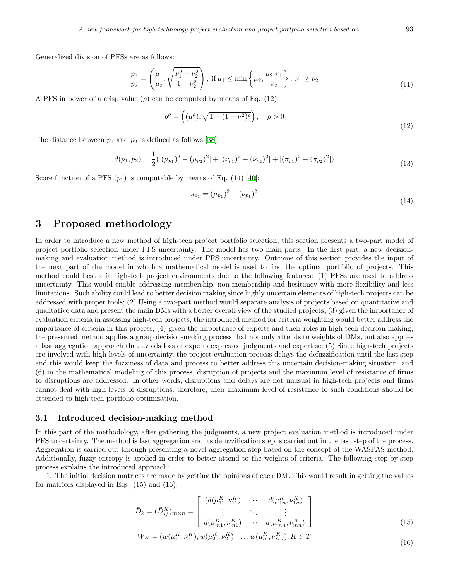Generalized division of PFSs are as follows:

are as follows:  
\n
$$
\frac{p_1}{p_2} = \left(\frac{\mu_1}{\mu_2}, \sqrt{\frac{\nu_1^2 - \nu_2^2}{1 - \nu_2^2}}\right), \text{ if } \mu_1 \le \min\left\{\mu_2, \frac{\mu_2 \cdot \pi_1}{\pi_2}\right\}, \ \nu_1 \ge \nu_2 \tag{11}
$$

A PFS in power of a crisp value ( $\rho$ ) can be computed by means of Eq. (12):

$$
p^{\rho} = \left( (\mu^{\rho}), \sqrt{1 - (1 - \nu^2)^{\rho}} \right), \quad \rho > 0
$$
\n(12)

The distance between  $p_1$  and  $p_2$  is defined as follows [[38\]](#page-17-4):

$$
d(p_1, p_2) = \frac{1}{2} ( |(\mu_{p_1})^2 - (\mu_{p_2})^2| + |(\nu_{p_1})^2 - (\nu_{p_2})^2| + |(\pi_{p_1})^2 - (\pi_{p_2})^2| )
$$
\n(13)

Score function of a PFS  $(p_1)$  is computable by means of Eq. (14) [[40\]](#page-17-5):

$$
s_{p_1} = (\mu_{p_1})^2 - (\nu_{p_1})^2 \tag{14}
$$

## **3 Proposed methodology**

In order to introduce a new method of high-tech project portfolio selection, this section presents a two-part model of project portfolio selection under PFS uncertainty. The model has two main parts. In the first part, a new decisionmaking and evaluation method is introduced under PFS uncertainty. Outcome of this section provides the input of the next part of the model in which a mathematical model is used to find the optimal portfolio of projects. This method could best suit high-tech project environments due to the following features: (1) PFSs are used to address uncertainty. This would enable addressing membership, non-membership and hesitancy with more flexibility and less limitations. Such ability could lead to better decision making since highly uncertain elements of high-tech projects can be addressed with proper tools; (2) Using a two-part method would separate analysis of projects based on quantitative and qualitative data and present the main DMs with a better overall view of the studied projects; (3) given the importance of evaluation criteria in assessing high-tech projects, the introduced method for criteria weighting would better address the importance of criteria in this process; (4) given the importance of experts and their roles in high-tech decision making, the presented method applies a group decision-making process that not only attends to weights of DMs, but also applies a last aggregation approach that avoids loss of experts expressed judgments and expertise; (5) Since high-tech projects are involved with high levels of uncertainty, the project evaluation process delays the defuzzification until the last step and this would keep the fuzziness of data and process to better address this uncertain decision-making situation; and (6) in the mathematical modeling of this process, disruption of projects and the maximum level of resistance of firms to disruptions are addressed. In other words, disruptions and delays are not unusual in high-tech projects and firms cannot deal with high levels of disruptions; therefore, their maximum level of resistance to such conditions should be attended to high-tech portfolio optimization.

#### **3.1 Introduced decision-making method**

In this part of the methodology, after gathering the judgments, a new project evaluation method is introduced under PFS uncertainty. The method is last aggregation and its defuzzification step is carried out in the last step of the process. Aggregation is carried out through presenting a novel aggregation step based on the concept of the WASPAS method. Additionally, fuzzy entropy is applied in order to better attend to the weights of criteria. The following step-by-step process explains the introduced approach:

1. The initial decision matrices are made by getting the opinions of each DM. This would result in getting the values for matrices displayed in Eqs. (15) and (16):

$$
\tilde{D}_k = (\tilde{D}_{ij}^K)_{m \times n} = \begin{bmatrix}\n(d(\mu_{11}^K, \nu_{11}^K) & \cdots & d(\mu_{1n}^K, \nu_{1n}^K) \\
\vdots & \ddots & \vdots \\
d(\mu_{m1}^K, \nu_{m1}^K) & \cdots & d(\mu_{mn}^K, \nu_{mn}^K)\n\end{bmatrix}
$$
\n(15)

$$
\tilde{W}_K = (w(\mu_1^K, \nu_1^K), w(\mu_2^K, \nu_2^K), \dots, w(\mu_n^K, \nu_n^K)), K \in T
$$
\n(16)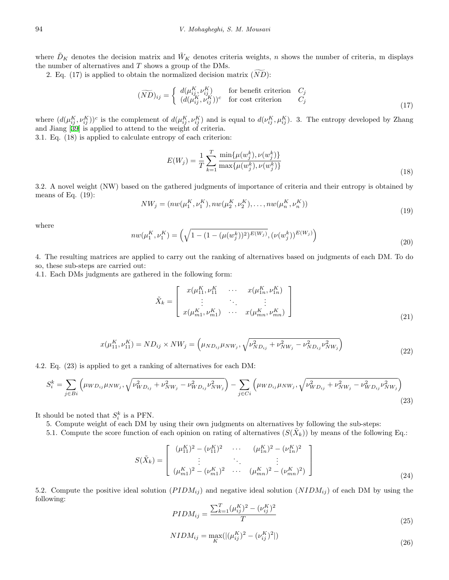where  $\tilde{D}_K$  denotes the decision matrix and  $\tilde{W}_K$  denotes criteria weights, *n* shows the number of criteria, m displays the number of alternatives and *T* shows a group of the DMs.<br>
2. Eq. (17) is applied to obtain the normalized decision n<br>  $(\widetilde{ND})_{ij} = \begin{cases} d(\mu_{ij}^K, \nu_{ij}^K) & \text{if } \\ (d(\mu_{ij}^K, \nu_{ij}^K))^c & \text{if } \end{cases}$ Eq.  $\tilde{D}_K$  denotes the decision matrix and  $\tilde{W}_K$  denotes criteria weights, number of alternatives and  $T$  shows a group of the DMs.<br>2. Eq. (17) is applied to obtain the normalized decision matrix  $(\widetilde{ND})$ :  $\overline{a}$ 

$$
(\widetilde{ND})_{ij} = \begin{cases} d(\mu^K_{ij}, \nu^K_{ij}) & \text{for benefit criterion} \quad C_j \\ (d(\mu^K_{ij}, \nu^K_{ij}))^c & \text{for cost criterion} \quad C_j \end{cases}
$$
\n(17)

where  $(d(\mu_{ij}^K, \nu_{ij}^K))^c$  is the complement of  $d(\mu_{ij}^K, \nu_{ij}^K)$  and is equal to  $d(\nu_{ij}^K, \mu_{ij}^K)$ . 3. The entropy developed by Zhang and Jiang [[39](#page-17-6)] is applied to attend to the weight of criteria. ∑

3.1. Eq. (18) is applied to calculate entropy of each criterion:

$$
E(W_j) = \frac{1}{T} \sum_{k=1}^{T} \frac{\min\{\mu(w_j^k), \nu(w_j^k)\}}{\max\{\mu(w_j^k), \nu(w_j^k)\}}
$$
(18)

3.2. A novel weight (NW) based on the gathered judgments of importance of criteria and their entropy is obtained by means of Eq.  $(19)$ :

$$
NW_j = (nw(\mu_1^K, \nu_1^K), nw(\mu_2^K, \nu_2^K), \dots, nw(\mu_n^K, \nu_n^K))
$$
  

$$
(\mu_1^K, \nu_1^K) = \left(\sqrt{1 - (1 - (\mu(w_i^k))^2)^{E(W_j)}}, (\nu(w_j^k))^{E(W_j)}\right)
$$
 (19)

where

$$
nw(\mu_1^K, \nu_1^K) = \left(\sqrt{1 - (1 - (\mu(w_j^k))^2)^{E(W_j)}}, (\nu(w_j^k))^{E(W_j)}\right)
$$
\n(20)

4. The resulting matrices are applied to carry out the ranking of alternatives based on judgments of each DM. To do so, these sub-steps are carried out:

4.1. Each DMs judgments are gathered in the following form:

$$
\tilde{X}_k = \begin{bmatrix} x(\mu_{11}^K, \nu_{11}^K & \cdots & x(\mu_{1n}^K, \nu_{1n}^K) \\ \vdots & \ddots & \vdots \\ x(\mu_{m1}^K, \nu_{m1}^K) & \cdots & x(\mu_{mn}^K, \nu_{mn}^K) \end{bmatrix}
$$
\n(21)

$$
x(\mu_{11}^K, \nu_{11}^K) = ND_{ij} \times NW_j = \left(\mu_{ND_{ij}} \mu_{NW_j}, \sqrt{\nu_{ND_{ij}}^2 + \nu_{NW_j}^2 - \nu_{ND_{ij}}^2 \nu_{NW_j}^2}\right)
$$
\n(22)

4.2. Eq. (23) is applied to get a ranking of alternatives for each DM:

$$
S_i^k = \sum_{j \in Bi} \left( \mu_{WD_{ij}} \mu_{NW_j}, \sqrt{\nu_{WD_{ij}}^2 + \nu_{NW_j}^2 - \nu_{WD_{ij}}^2 \nu_{NW_j}^2} \right) - \sum_{j \in Ci} \left( \mu_{WD_{ij}} \mu_{NW_j}, \sqrt{\nu_{WD_{ij}}^2 + \nu_{NW_j}^2 - \nu_{WD_{ij}}^2 \nu_{NW_j}^2} \right)
$$
\n(23)

It should be noted that  $S_i^k$  is a PFN.

5. Compute weight of each DM by using their own judgments on alternatives by following the sub-steps:

5.1. Compute weight of each  $\overline{BM}$  by using their own judgments on alternatives by following the sub-steps.<br>5.1. Compute the score function of each opinion on rating of alternatives  $(S(\tilde{X}_k))$  by means of the following

$$
S(\tilde{X}_k) = \begin{bmatrix} (\mu_{11}^K)^2 - (\nu_{11}^K)^2 & \cdots & (\mu_{1n}^K)^2 - (\nu_{1n}^K)^2 \\ \vdots & \ddots & \vdots \\ (\mu_{m1}^K)^2 - (\nu_{m1}^K)^2 & \cdots & (\mu_{mn}^K)^2 - (\nu_{mn}^K)^2 \end{bmatrix}
$$
(24)

5.2. Compute the positive ideal solution  $(PIDM_{ij})$  and negative ideal solution  $(NIDM_{ij})$  of each DM by using the following:

$$
PIDM_{ij} = \frac{\sum_{k=1}^{T} (\mu_{ij}^K)^2 - (\nu_{ij}^K)^2}{T}
$$
\n(25)

$$
NIDM_{ij} = \max_{K}(|(\mu_{ij}^{K})^{2} - (\nu_{ij}^{K})^{2}|)
$$
\n(26)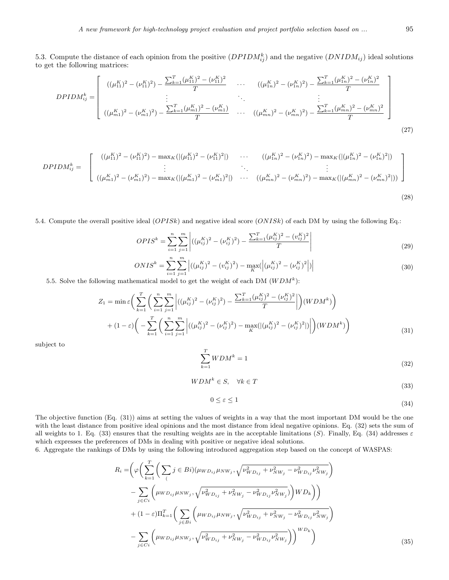5.3. Compute the distance of each opinion from the positive  $(DPIDM^k_{ij})$  and the negative  $(DNIDM_{ij})$  ideal solutions to get the following matrices:

$$
DPIDM_{ij}^{k} = \begin{bmatrix} ((\mu_{11}^{K})^{2} - (\nu_{11}^{K})^{2}) - \frac{\sum_{k=1}^{T} (\mu_{11}^{K})^{2} - (\nu_{11}^{K})^{2}}{T} & \cdots & ((\mu_{1n}^{K})^{2} - (\nu_{1n}^{K})^{2}) - \frac{\sum_{k=1}^{T} (\mu_{1n}^{K})^{2} - (\nu_{1n}^{K})^{2}}{T} \\ \vdots & \ddots & \vdots \\ ((\mu_{m1}^{K})^{2} - (\nu_{m1}^{K})^{2}) - \frac{\sum_{k=1}^{T} (\mu_{m1}^{K})^{2} - (\nu_{m1}^{K})}{T} & \cdots & ((\mu_{mn}^{K})^{2} - (\nu_{mn}^{K})^{2}) - \frac{\sum_{k=1}^{T} (\mu_{mn}^{K})^{2} - (\nu_{mn}^{K})^{2}}{T} \end{bmatrix}
$$
\n
$$
(27)
$$

$$
DPIDM_{ij}^{k} = \begin{bmatrix} ((\mu_{11}^{K})^{2} - (\nu_{11}^{K})^{2}) - \max_{K}((\mu_{11}^{K})^{2} - (\nu_{11}^{K})^{2}]) & \cdots & ((\mu_{1n}^{K})^{2} - (\nu_{1n}^{K})^{2}) - \max_{K}((\mu_{1n}^{K})^{2} - (\nu_{1n}^{K})^{2}]) \\ \vdots & \ddots & \vdots \\ ((\mu_{m1}^{K})^{2} - (\nu_{m1}^{K})^{2}) - \max_{K}((\mu_{m1}^{K})^{2} - (\nu_{m1}^{K})^{2}]) & \cdots & ((\mu_{mn}^{K})^{2} - (\nu_{mn}^{K})^{2}) - \max_{K}((\mu_{mn}^{K})^{2} - (\nu_{mn}^{K})^{2}])) \end{bmatrix}
$$
\n(28)

5.4. Compute the overall positive ideal (*OP ISk*) and negative ideal score (*ONISk*) of each DM by using the following Eq.:

$$
OPIS^{k} = \sum_{i=1}^{n} \sum_{j=1}^{m} \left| ((\mu_{ij}^{K})^{2} - (\nu_{ij}^{K})^{2}) - \frac{\sum_{k=1}^{T} (\mu_{ij}^{K})^{2} - (\nu_{ij}^{K})^{2}}{T} \right|
$$
\n(29)

$$
ONIS^{k} = \sum_{i=1}^{n} \sum_{j=1}^{m} \left| ((\mu_{ij}^{K})^{2} - (v_{ij}^{K})^{2}) - \max_{K} (\left| (\mu_{ij}^{K})^{2} - (\nu_{ij}^{K})^{2} \right|) \right|
$$
(30)

5.5. Solve the following mathematical model to get the weight of each DM  $(WDM<sup>k</sup>)$ :

$$
Z_{1} = \min \varepsilon \bigg( \sum_{k=1}^{T} \bigg( \sum_{i=1}^{n} \sum_{j=1}^{m} \bigg| ((\mu_{ij}^{K})^{2} - (\nu_{ij}^{K})^{2}) - \frac{\sum_{k=1}^{T} (\mu_{ij}^{K})^{2} - (\nu_{ij}^{K})^{2}}{T} \bigg| \bigg) (WDM^{k}) \bigg)
$$
  
+ 
$$
(1 - \varepsilon) \bigg( - \sum_{k=1}^{T} \bigg( \sum_{i=1}^{n} \sum_{j=1}^{m} \bigg| ((\mu_{ij}^{K})^{2} - (\nu_{ij}^{K})^{2}) - \max_{K} (|(\mu_{ij}^{K})^{2} - (\nu_{ij}^{K})^{2}|) \bigg| \bigg) (WDM^{k}) \bigg)
$$
(31)

subject to

$$
\sum_{k=1}^{T} WDM^k = 1\tag{32}
$$

$$
WDM^k \in S, \quad \forall k \in T
$$
\n
$$
(33)
$$

$$
0 \le \varepsilon \le 1 \tag{34}
$$

The objective function (Eq. (31)) aims at setting the values of weights in a way that the most important DM would be the one with the least distance from positive ideal opinions and the most distance from ideal negative opinions. Eq. (32) sets the sum of all weights to 1. Eq. (33) ensures that the resulting weights are in the acceptable limitations (*S*). Finally, Eq. (34) addresses *ε* which expresses the preferences of DMs in dealing with positive or negative ideal solutions.

6. Aggregate the rankings of DMs by using the following introduced aggregation step based on the concept of WASPAS:

$$
R_{i} = \left(\varphi \left(\sum_{k=1}^{T} \left(\sum_{j} j \in Bi\right) (\mu_{W D_{ij}} \mu_{N W_{j}}, \sqrt{\nu_{W D_{ij}}^{2} + \nu_{N W_{j}}^{2} - \nu_{W D_{ij}}^{2} \nu_{N W_{j}}^{2}}\right) - \sum_{j \in Ci} \left(\mu_{W D_{ij}} \mu_{N W_{j}}, \sqrt{\nu_{W D_{ij}}^{2} + \nu_{N W_{j}}^{2} - \nu_{W D_{ij}}^{2} \nu_{N W_{j}}^{2}}\right) W D_{k}\right)\right) + (1 - \varepsilon) \Pi_{k=1}^{T} \left(\sum_{j \in Bi} \left(\mu_{W D_{ij}} \mu_{N W_{j}}, \sqrt{\nu_{W D_{ij}}^{2} + \nu_{N W_{j}}^{2} - \nu_{W D_{ij}}^{2} \nu_{N W_{j}}^{2}}\right) - \sum_{j \in Ci} \left(\mu_{W D_{ij}} \mu_{N W_{j}}, \sqrt{\nu_{W D_{ij}}^{2} + \nu_{N W_{j}}^{2} - \nu_{W D_{ij}}^{2} \nu_{N W_{j}}^{2}}\right)\right)^{W D_{k}}\right)
$$
(35)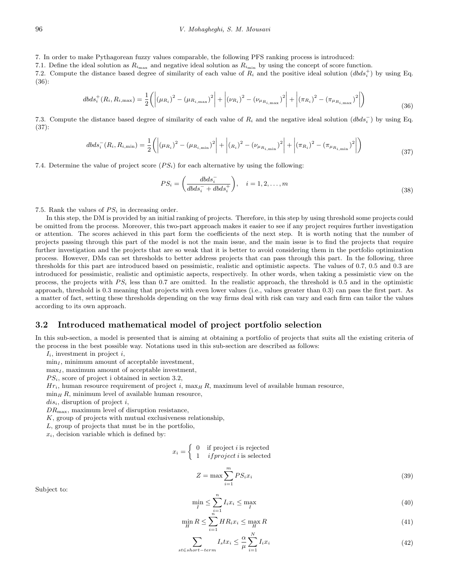7. In order to make Pythagorean fuzzy values comparable, the following PFS ranking process is introduced:

7.1. Define the ideal solution as  $R_{i_{\text{max}}}$  and negative ideal solution as  $R_{i_{\text{min}}}$  by using the concept of score function.

7.2. Compute the distance based degree of similarity of each value of  $R_i$  and the positive ideal solution  $(d\bar{b}ds_i^+)$  by using Eq. (36):

$$
dbds_i^+(R_i, R_{i, \max}) = \frac{1}{2} \left( \left| (\mu_{R_i})^2 - (\mu_{R_{i, \max}})^2 \right| + \left| (\nu_{R_i})^2 - (\nu_{\mu_{R_{i, \max}}})^2 \right| + \left| (\pi_{R_i})^2 - (\pi_{\mu_{R_{i, \max}}})^2 \right| \right)
$$
(36)

7.3. Compute the distance based degree of similarity of each value of *R<sup>i</sup>* and the negative ideal solution (*dbds<sup>−</sup> i* ) by using Eq. (37):

$$
dbds_i^-(R_i, R_{i,\min}) = \frac{1}{2} \left( \left| (\mu_{R_i})^2 - (\mu_{R_{i,\min}})^2 \right| + \left| (R_i)^2 - (\nu_{\mu_{R_{i,\min}}})^2 \right| + \left| (\pi_{R_i})^2 - (\pi_{\mu_{R_{i,\min}}})^2 \right| \right)
$$
(37)

7.4. Determine the value of project score  $(PS_i)$  for each alternative by using the following:

$$
PS_i = \left(\frac{dbds_i^-}{dbds_i^- + dbds_i^+}\right), \quad i = 1, 2, \dots, m
$$
\n
$$
(38)
$$

7.5. Rank the values of  $PS<sub>i</sub>$  in decreasing order.

In this step, the DM is provided by an initial ranking of projects. Therefore, in this step by using threshold some projects could be omitted from the process. Moreover, this two-part approach makes it easier to see if any project requires further investigation or attention. The scores achieved in this part form the coefficients of the next step. It is worth noting that the number of projects passing through this part of the model is not the main issue, and the main issue is to find the projects that require further investigation and the projects that are so weak that it is better to avoid considering them in the portfolio optimization process. However, DMs can set thresholds to better address projects that can pass through this part. In the following, three thresholds for this part are introduced based on pessimistic, realistic and optimistic aspects. The values of 0.7, 0.5 and 0.3 are introduced for pessimistic, realistic and optimistic aspects, respectively. In other words, when taking a pessimistic view on the process, the projects with *P S<sup>i</sup>* less than 0.7 are omitted. In the realistic approach, the threshold is 0.5 and in the optimistic approach, threshold is 0.3 meaning that projects with even lower values (i.e., values greater than 0.3) can pass the first part. As a matter of fact, setting these thresholds depending on the way firms deal with risk can vary and each firm can tailor the values according to its own approach.

#### **3.2 Introduced mathematical model of project portfolio selection**

In this sub-section, a model is presented that is aiming at obtaining a portfolio of projects that suits all the existing criteria of the process in the best possible way. Notations used in this sub-section are described as follows:

*Ii*, investment in project *i*,

min*<sup>I</sup>* , minimum amount of acceptable investment,

max<sub>*I*</sub>, maximum amount of acceptable investment,

 $PS_i$ , score of project i obtained in section 3.2,

 $Hr_i$ , human resource requirement of project *i*, max<sub>*H*</sub> *R*, maximum level of available human resource,

 $\min_H R$ , minimum level of available human resource,

*disi*, disruption of project *i*,

*DR*max, maximum level of disruption resistance,

*K*, group of projects with mutual exclusiveness relationship,

*L*, group of projects that must be in the portfolio,

 $x_i$ , decision variable which is defined by:

$$
x_i = \begin{cases} 0 & \text{if project } i \text{ is rejected} \\ 1 & \text{if project } i \text{ is selected} \end{cases}
$$

$$
Z = \max \sum_{i=1}^{m} PS_i x_i \tag{39}
$$

Subject to:

$$
\min_{I} \le \sum_{i=1}^{n} I_i x_i \le \max_{I} \tag{40}
$$

$$
\min_{H} R \le \sum_{i=1}^{n} H R_i x_i \le \max_{H} R \tag{41}
$$

$$
\sum_{st \in short-term} I_s t x_i \leq \frac{\alpha}{\mu} \sum_{i=1}^N I_i x_i \tag{42}
$$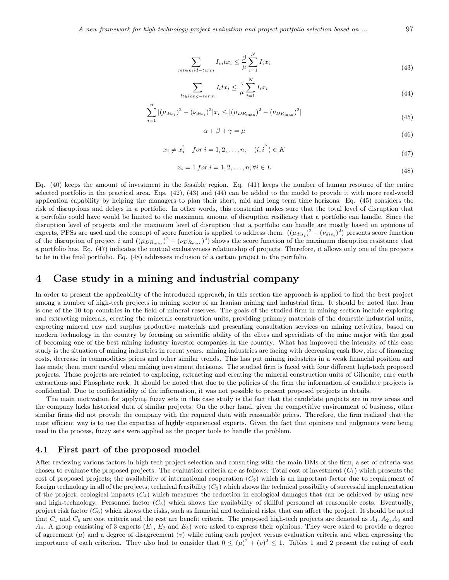*A new framework for high-technology project evaluation and project portfolio selection based on ...* 97

$$
\sum_{mt \in mid-term} I_m t x_i \leq \frac{\beta}{\mu} \sum_{i=1}^{N} I_i x_i \tag{43}
$$

$$
\sum_{lt \in long-term} I_l t x_i \leq \frac{\gamma}{\mu} \sum_{i=1}^{N} I_i x_i
$$
\n(44)

$$
\sum_{i=1}^{n} |(\mu_{dis_i})^2 - (\nu_{dis_i})^2 | x_i \le |(\mu_{DR_{\text{max}}})^2 - (\nu_{DR_{\text{max}}})^2|
$$
\n(45)

$$
\alpha + \beta + \gamma = \mu \tag{46}
$$

$$
x_i \neq x_i^{"} \quad \text{for } i = 1, 2, \dots, n; \quad (i, i'') \in K
$$
\n
$$
(47)
$$

$$
x_i = 1 \text{ for } i = 1, 2, \dots, n; \forall i \in L
$$
\n
$$
(48)
$$

Eq. (40) keeps the amount of investment in the feasible region. Eq. (41) keeps the number of human resource of the entire selected portfolio in the practical area. Eqs. (42), (43) and (44) can be added to the model to provide it with more real-world application capability by helping the managers to plan their short, mid and long term time horizons. Eq. (45) considers the risk of disruptions and delays in a portfolio. In other words, this constraint makes sure that the total level of disruption that a portfolio could have would be limited to the maximum amount of disruption resiliency that a portfolio can handle. Since the disruption level of projects and the maximum level of disruption that a portfolio can handle are mostly based on opinions of experts, PFSs are used and the concept of score function is applied to address them.  $((\mu_{dis_i})^2 - (\nu_{dis_i})^2)$  presents score function of the disruption of project *i* and  $((\mu_{DR_{\text{max}}})^2 - (\nu_{DR_{\text{max}}})^2)$  shows the score function of the maximum disruption resistance that a portfolio has. Eq. (47) indicates the mutual exclusiveness relationship of projects. Therefore, it allows only one of the projects to be in the final portfolio. Eq. (48) addresses inclusion of a certain project in the portfolio.

## **4 Case study in a mining and industrial company**

In order to present the applicability of the introduced approach, in this section the approach is applied to find the best project among a number of high-tech projects in mining sector of an Iranian mining and industrial firm. It should be noted that Iran is one of the 10 top countries in the field of mineral reserves. The goals of the studied firm in mining section include exploring and extracting minerals, creating the minerals construction units, providing primary materials of the domestic industrial units, exporting mineral raw and surplus productive materials and presenting consultation services on mining activities, based on modern technology in the country by focusing on scientific ability of the elites and specialists of the mine major with the goal of becoming one of the best mining industry investor companies in the country. What has improved the intensity of this case study is the situation of mining industries in recent years. mining industries are facing with decreasing cash flow, rise of financing costs, decrease in commodities prices and other similar trends. This has put mining industries in a weak financial position and has made them more careful when making investment decisions. The studied firm is faced with four different high-tech proposed projects. These projects are related to exploring, extracting and creating the mineral construction units of Gilsonite, rare earth extractions and Phosphate rock. It should be noted that due to the policies of the firm the information of candidate projects is confidential. Due to confidentiality of the information, it was not possible to present proposed projects in details.

The main motivation for applying fuzzy sets in this case study is the fact that the candidate projects are in new areas and the company lacks historical data of similar projects. On the other hand, given the competitive environment of business, other similar firms did not provide the company with the required data with reasonable prices. Therefore, the firm realized that the most efficient way is to use the expertise of highly experienced experts. Given the fact that opinions and judgments were being used in the process, fuzzy sets were applied as the proper tools to handle the problem.

#### **4.1 First part of the proposed model**

After reviewing various factors in high-tech project selection and consulting with the main DMs of the firm, a set of criteria was chosen to evaluate the proposed projects. The evaluation criteria are as follows: Total cost of investment (*C*1) which presents the cost of proposed projects; the availability of international cooperation (*C*2) which is an important factor due to requirement of foreign technology in all of the projects; technical feasibility (*C*3) which shows the technical possibility of successful implementation of the project; ecological impacts  $(C_4)$  which measures the reduction in ecological damages that can be achieved by using new and high-technology. Personnel factor  $(C_5)$  which shows the availability of skillful personnel at reasonable costs. Eventually, project risk factor (*C*6) which shows the risks, such as financial and technical risks, that can affect the project. It should be noted that *C*<sup>1</sup> and *C*<sup>6</sup> are cost criteria and the rest are benefit criteria. The proposed high-tech projects are denoted as *A*1*, A*2*, A*<sup>3</sup> and *A*4. A group consisting of 3 experts (*E*1, *E*<sup>2</sup> and *E*3) were asked to express their opinions. They were asked to provide a degree of agreement  $(\mu)$  and a degree of disagreement  $(v)$  while rating each project versus evaluation criteria and when expressing the importance of each criterion. They also had to consider that  $0 \leq (\mu)^2 + (v)^2 \leq 1$ . Tables 1 and 2 present the rating of each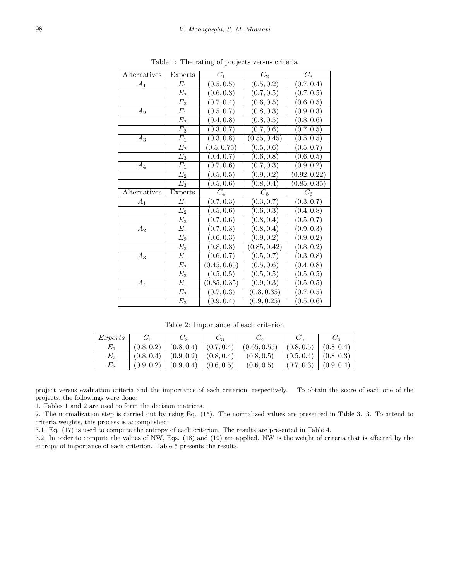| Alternatives | Experts          | $\overline{C_1}$        | $\overline{C_2}$        | $\overline{C}_3$        |
|--------------|------------------|-------------------------|-------------------------|-------------------------|
| $A_1$        | $E_1$            | (0.5, 0.5)              | (0.5, 0.2)              | (0.7, 0.4)              |
|              | $\overline{E_2}$ | (0.6, 0.3)              | (0.7, 0.5)              | (0.7, 0.5)              |
|              | $E_3$            | (0.7, 0.4)              | (0.6, 0.5)              | (0.6, 0.5)              |
| $A_2$        | $E_1$            | (0.5, 0.7)              | (0.8, 0.3)              | $\overline{(0.9, 0.3)}$ |
|              | $\overline{E_2}$ | $\overline{(0.4,0.8)}$  | $\overline{(0.8, 0.5)}$ | $\overline{(0.8,0.6)}$  |
|              | $E_3$            | $\overline{(0.3, 0.7)}$ | (0.7, 0.6)              | (0.7, 0.5)              |
| $A_3$        | $E_1$            | (0.3, 0.8)              | (0.55, 0.45)            | (0.5, 0.5)              |
|              | E <sub>2</sub>   | (0.5, 0.75)             | (0.5, 0.6)              | (0.5, 0.7)              |
|              | $E_3$            | (0.4, 0.7)              | (0.6, 0.8)              | $\overline{(0.6,0.5)}$  |
| $A_4$        | $E_1$            | (0.7, 0.6)              | (0.7, 0.3)              | (0.9, 0.2)              |
|              | $E_2$            | (0.5, 0.5)              | (0.9, 0.2)              | (0.92, 0.22)            |
|              | $E_3$            | (0.5, 0.6)              | (0.8, 0.4)              | (0.85, 0.35)            |
|              |                  |                         |                         |                         |
| Alternatives | Experts          | $C_{4}$                 | $\overline{C_5}$        | $C_6$                   |
| $A_1$        | $E_1$            | (0.7, 0.3)              | (0.3, 0.7)              | (0.3, 0.7)              |
|              | $E_2$            | (0.5, 0.6)              | $(0.\overline{6,0.3})$  | (0.4, 0.8)              |
|              | $\overline{E_3}$ | (0.7, 0.6)              | (0.8, 0.4)              | $(0.\overline{5,0.7})$  |
| $A_2$        | $E_1$            | (0.7, 0.3)              | (0.8, 0.4)              | $\overline{(0.9,0.3)}$  |
|              | E <sub>2</sub>   | (0.6, 0.3)              | $\overline{(0.9,0.2)}$  | $\overline{(0.9,0.2)}$  |
|              | $E_3$            | (0.8, 0.3)              | (0.85, 0.42)            | $\overline{(0.8, 0.2)}$ |
| $A_3$        | $\overline{E_1}$ | (0.6, 0.7)              | (0.5, 0.7)              | (0.3, 0.8)              |
|              | E <sub>2</sub>   | (0.45, 0.65)            | (0.5, 0.6)              | (0.4, 0.8)              |
|              | $E_3$            | $\overline{(0.5, 0.5)}$ | (0.5, 0.5)              | $\overline{(0.5, 0.5)}$ |
| $A_4$        | $E_1$            | (0.85, 0.35)            | (0.9, 0.3)              | $\overline{(0.5,0.5)}$  |
|              | $E_2$            | $\overline{(0.7,0.3)}$  | (0.8, 0.35)             | $\overline{(0.7, 0.5)}$ |

Table 1: The rating of projects versus criteria

Table 2: Importance of each criterion

| Express |                        | $\cup_2$                | U3         | U4          |            | U6         |
|---------|------------------------|-------------------------|------------|-------------|------------|------------|
| $E_1$   | (0.8,0.2)              | (0.8, 0.4)              | (0.7, 0.4) | (0.65,0.55) | (0.8,0.5)  | (0.8, 0.4) |
| $E_{2}$ | (0.8, 0.4)             | (0.9, 0.2)              | (0.8, 0.4) | (0.8, 0.5)  | (0.5, 0.4) | (0.8, 0.3) |
| $E_3$   | $\left(0.9,0.2\right)$ | $\left(0.9, 0.4\right)$ | (0.6, 0.5) | (0.6,0.5)   | (0.7, 0.3) | (0.9, 0.4) |

project versus evaluation criteria and the importance of each criterion, respectively. To obtain the score of each one of the projects, the followings were done:

1. Tables 1 and 2 are used to form the decision matrices.

2. The normalization step is carried out by using Eq. (15). The normalized values are presented in Table 3. 3. To attend to criteria weights, this process is accomplished:

3.1. Eq. (17) is used to compute the entropy of each criterion. The results are presented in Table 4.

3.2. In order to compute the values of NW, Eqs. (18) and (19) are applied. NW is the weight of criteria that is affected by the entropy of importance of each criterion. Table 5 presents the results.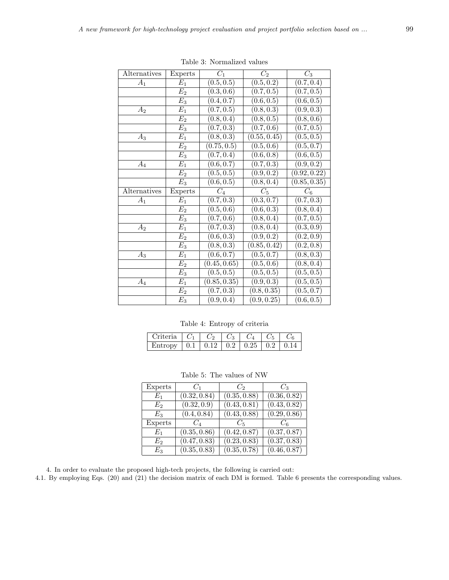| Alternatives | Experts          | $C_1$                   | $\overline{C_2}$                       | $C_3$                                              |
|--------------|------------------|-------------------------|----------------------------------------|----------------------------------------------------|
| $A_1$        | $E_1$            | (0.5, 0.5)              | (0.5, 0.2)                             | (0.7, 0.4)                                         |
|              | E <sub>2</sub>   | $\overline{(0.3, 0.6)}$ | (0.7, 0.5)                             | (0.7, 0.5)                                         |
|              | $E_3$            | (0.4, 0.7)              | (0.6, 0.5)                             | (0.6, 0.5)                                         |
| $A_2$        | $\mathcal{E}_1$  | (0.7, 0.5)              | (0.8, 0.3)                             | (0.9, 0.3)                                         |
|              | E <sub>2</sub>   | (0.8, 0.4)              | (0.8, 0.5)                             | (0.8, 0.6)                                         |
|              | $E_3$            | (0.7, 0.3)              | (0.7, 0.6)                             | $\overline{(0.7,0.5)}$                             |
| $A_3$        | $E_1$            | (0.8, 0.3)              | (0.55, 0.45)                           | (0.5, 0.5)                                         |
|              | E <sub>2</sub>   | (0.75, 0.5)             | (0.5, 0.6)                             | (0.5, 0.7)                                         |
|              | $E_3$            | (0.7, 0.4)              | (0.6, 0.8)                             | (0.6, 0.5)                                         |
| $A_4$        | $E_1$            | (0.6, 0.7)              | (0.7, 0.3)                             | (0.9, 0.2)                                         |
|              | E <sub>2</sub>   | (0.5, 0.5)              | (0.9, 0.2)                             | (0.92, 0.22)                                       |
|              | $E_3$            | (0.6, 0.5)              | (0.8, 0.4)                             | (0.85, 0.35)                                       |
| Alternatives | Experts          | $C_4$                   | $\overline{C_5}$                       | $C_{6}$                                            |
|              |                  |                         |                                        |                                                    |
| $A_1$        | $E_1$            | (0.7, 0.3)              | (0.3, 0.7)                             | (0.7, 0.3)                                         |
|              | E <sub>2</sub>   | (0.5, 0.6)              | (0.6, 0.3)                             | (0.8, 0.4)                                         |
|              | $E_3$            | (0.7, 0.6)              | (0.8, 0.4)                             | (0.7, 0.5)                                         |
| $A_2$        | $E_1$            | (0.7, 0.3)              | (0.8, 0.4)                             | (0.3, 0.9)                                         |
|              | E <sub>2</sub>   | (0.6, 0.3)              | (0.9, 0.2)                             | (0.2, 0.9)                                         |
|              | $E_3$            | (0.8, 0.3)              | (0.85, 0.42)                           | (0.2, 0.8)                                         |
| $A_3$        | $E_1$            | (0.6, 0.7)              | (0.5, 0.7)                             | (0.8, 0.3)                                         |
|              | $\overline{E_2}$ | (0.45, 0.65)            | (0.5, 0.6)                             | (0.8, 0.4)                                         |
|              | $E_3$            | (0.5, 0.5)              | (0.5, 0.5)                             | $\overline{(0.5,0.5)}$                             |
| $A_4$        | $E_1$            | (0.85, 0.35)            | (0.9, 0.3)                             | (0.5, 0.5)                                         |
|              | $E_2$<br>$E_3$   | (0.7, 0.3)              | (0.8, 0.35)<br>$\overline{(0.9,0.25)}$ | $\overline{(0.5, 0.7)}$<br>$\overline{(0.6, 0.5)}$ |

Table 3: Normalized values

Table 4: Entropy of criteria

| $\mid$ Criteria $\mid$ $C_1 \mid$              |  | $C_2$   $C_3$   $C_4$   $C_5$ |  |
|------------------------------------------------|--|-------------------------------|--|
| Entropy   0.1   0.12   0.2   0.25   0.2   0.14 |  |                               |  |

| Experts | $C_1$        | $C_2$        | $C_3$        |
|---------|--------------|--------------|--------------|
| $E_1$   | (0.32, 0.84) | (0.35, 0.88) | (0.36, 0.82) |
| $E_2$   | (0.32, 0.9)  | (0.43, 0.81) | (0.43, 0.82) |
| $E_3$   | (0.4, 0.84)  | (0.43, 0.88) | (0.29, 0.86) |
| Experts | $C_4$        | $C_{5}$      | $C_6$        |
| $E_1$   | (0.35, 0.86) | (0.42, 0.87) | (0.37, 0.87) |
| $E_2$   | (0.47, 0.83) | (0.23, 0.83) | (0.37, 0.83) |
| $E_3$   | (0.35, 0.83) | (0.35, 0.78) | (0.46, 0.87) |

Table 5: The values of NW

4. In order to evaluate the proposed high-tech projects, the following is carried out:

4.1. By employing Eqs. (20) and (21) the decision matrix of each DM is formed. Table 6 presents the corresponding values.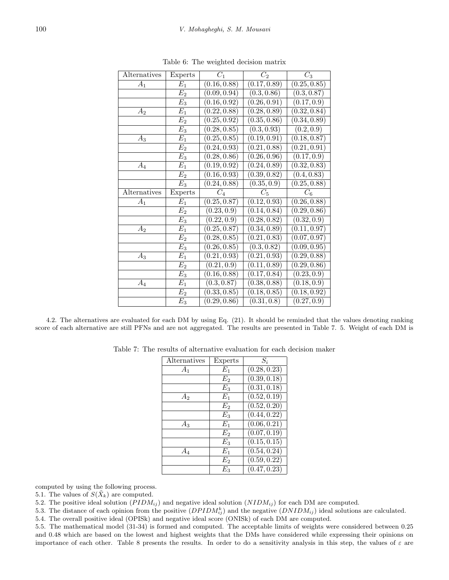| Alternatives | Experts        | $C_1$                     | $C_2$                    | $\overline{C}_3$          |
|--------------|----------------|---------------------------|--------------------------|---------------------------|
| $A_1$        | $E_1$          | (0.16, 0.88)              | (0.17, 0.89)             | $\overline{(0.25,0.85)}$  |
|              | $E_2$          | (0.09, 0.94)              | (0.3, 0.86)              | (0.3, 0.87)               |
|              | $E_3$          | (0.16, 0.92)              | (0.26, 0.91)             | (0.17, 0.9)               |
| $A_2$        | $E_1$          | $\overline{(0.22, 0.88)}$ | (0.28, 0.89)             | (0.32, 0.84)              |
|              | E <sub>2</sub> | (0.25, 0.92)              | (0.35, 0.86)             | $\overline{(0.34, 0.89)}$ |
|              | $E_3$          | (0.28, 0.85)              | (0.3, 0.93)              | (0.2, 0.9)                |
| $A_3$        | $E_1$          | (0.25, 0.85)              | (0.19, 0.91)             | (0.18, 0.87)              |
|              | $E_2$          | (0.24, 0.93)              | (0.21, 0.88)             | (0.21, 0.91)              |
|              | $E_3$          | (0.28, 0.86)              | (0.26, 0.96)             | (0.17, 0.9)               |
| $A_4$        | $E_1$          | (0.19, 0.92)              | (0.24, 0.89)             | (0.32, 0.83)              |
|              | $E_2$          | (0.16, 0.93)              | $\sqrt{(0.39, 0.82)}$    | (0.4, 0.83)               |
|              | $E_3$          | (0.24, 0.88)              | $(0.\overline{35,0.9})$  | (0.25, 0.88)              |
|              |                |                           |                          |                           |
| Alternatives | Experts        | $C_4$                     | $\overline{C_5}$         | $C_6$                     |
| $A_1$        | $E_1$          | (0.25, 0.87)              | (0.12, 0.93)             | (0.26, 0.88)              |
|              | $E_2$          | (0.23, 0.9)               | (0.14, 0.84)             | (0.29, 0.86)              |
|              | $E_3$          | $\overline{(0.22, 0.9)}$  | (0.28, 0.82)             | $\overline{(0.32, 0.9)}$  |
| $A_2$        | $E_1$          | (0.25, 0.87)              | (0.34, 0.89)             | (0.11, 0.97)              |
|              | $E_2$          | (0.28, 0.85)              | (0.21, 0.83)             | (0.07, 0.97)              |
|              | $E_3$          | (0.26, 0.85)              | $\overline{(0.3,0.82)}$  | $\overline{(0.09, 0.95)}$ |
| $A_3$        | $E_1$          | (0.21, 0.93)              | (0.21, 0.93)             | $\overline{(0.29,0.88)}$  |
|              | E <sub>2</sub> | $\overline{(0.21, 0.9)}$  | (0.11, 0.89)             | (0.29, 0.86)              |
|              | $E_3$          | (0.16, 0.88)              | (0.17, 0.84)             | (0.23, 0.9)               |
| $A_4$        | $E_1$          | (0.3, 0.87)               | (0.38, 0.88)             | (0.18, 0.9)               |
|              | $E_2$          | $\overline{(0.33,0.85)}$  | $\overline{(0.18,0.85)}$ | (0.18, 0.92)              |

Table 6: The weighted decision matrix

4.2. The alternatives are evaluated for each DM by using Eq. (21). It should be reminded that the values denoting ranking score of each alternative are still PFNs and are not aggregated. The results are presented in Table 7. 5. Weight of each DM is

Table 7: The results of alternative evaluation for each decision maker

| Alternatives | Experts            | $S_i$                     |
|--------------|--------------------|---------------------------|
| $A_1$        | $E_1$              | (0.28, 0.23)              |
|              | $E_2$              | (0.39, 0.18)              |
|              | $E_3$              | (0.31, 0.18)              |
| $A_2$        | $E_1$              | (0.52, 0.19)              |
|              | E <sub>2</sub>     | (0.52, 0.20)              |
|              | $E_3$              | (0.44, 0.22)              |
| $A_3$        | $E_1$              | (0.06, 0.21)              |
|              | $E_{2}$            | (0.07, 0.19)              |
|              | $E_3$              | (0.15, 0.15)              |
| $A_{\it 4}$  | $E_1$              | (0.54, 0.24)              |
|              | $\scriptstyle E_2$ | (0.59, 0.22)              |
|              | $E_3$              | $\overline{(0.47, 0.23)}$ |

computed by using the following process.

5.1. The values of  $S(\tilde{X}_k)$  are computed.

5.2. The positive ideal solution (*P IDMij* ) and negative ideal solution (*NIDMij* ) for each DM are computed.

5.3. The distance of each opinion from the positive  $(DPIDM_i^k)$  and the negative  $(DNIDM_i)$  ideal solutions are calculated.

5.4. The overall positive ideal (OPISk) and negative ideal score (ONISk) of each DM are computed.

5.5. The mathematical model (31-34) is formed and computed. The acceptable limits of weights were considered between 0.25 and 0.48 which are based on the lowest and highest weights that the DMs have considered while expressing their opinions on importance of each other. Table 8 presents the results. In order to do a sensitivity analysis in this step, the values of  $\varepsilon$  are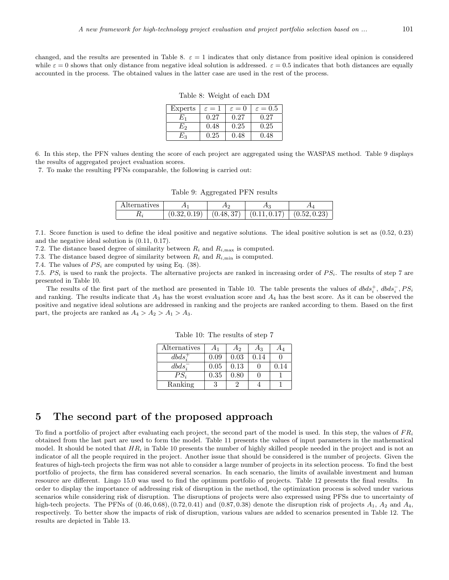changed, and the results are presented in Table 8.  $\varepsilon = 1$  indicates that only distance from positive ideal opinion is considered while  $\varepsilon = 0$  shows that only distance from negative ideal solution is addressed.  $\varepsilon = 0.5$  indicates that both distances are equally accounted in the process. The obtained values in the latter case are used in the rest of the process.

Table 8: Weight of each DM

| Experts | $\varepsilon=1$ | $\varepsilon = 0$ | $\varepsilon = 0.5$ |
|---------|-----------------|-------------------|---------------------|
| $E_1$   | 0.27            | 0.27              | 0.27                |
| E2      | 0.48            | 0.25              | 0.25                |
| $E_{3}$ | 0.25            | 0.48              | 0.48                |

6. In this step, the PFN values denting the score of each project are aggregated using the WASPAS method. Table 9 displays the results of aggregated project evaluation scores.

7. To make the resulting PFNs comparable, the following is carried out:

Table 9: Aggregated PFN results

| Alternatives |              | .          |              |              |
|--------------|--------------|------------|--------------|--------------|
|              | (0.32, 0.19) | (0.48, 37) | (0.11, 0.17) | (0.52, 0.23) |

7.1. Score function is used to define the ideal positive and negative solutions. The ideal positive solution is set as (0.52, 0.23) and the negative ideal solution is (0.11, 0.17).

7.2. The distance based degree of similarity between  $R_i$  and  $R_{i,\text{max}}$  is computed.

7.3. The distance based degree of similarity between  $R_i$  and  $R_{i,\text{min}}$  is computed.

7.4. The values of  $PS_i$  are computed by using Eq. (38).

7.5.  $PS_i$  is used to rank the projects. The alternative projects are ranked in increasing order of  $PS_i$ . The results of step 7 are presented in Table 10.

The results of the first part of the method are presented in Table 10. The table presents the values of  $dbds_i^+$ ,  $dbds_i^-$ ,  $PS_i$ and ranking. The results indicate that *A*<sup>3</sup> has the worst evaluation score and *A*<sup>4</sup> has the best score. As it can be observed the positive and negative ideal solutions are addressed in ranking and the projects are ranked according to them. Based on the first part, the projects are ranked as  $A_4 > A_2 > A_1 > A_3$ .

| Alternatives | Α1   | A <sub>2</sub> | $A_3$ | A4   |
|--------------|------|----------------|-------|------|
| $dbds_i^+$   | 0.09 | 0.03           | 0.14  |      |
| $dbds_i^-$   | 0.05 | 0.13           |       | 0.14 |
| $PS_i$       | 0.35 | 0.80           |       |      |
| Ranking      |      |                |       |      |

Table 10: The results of step 7

## **5 The second part of the proposed approach**

To find a portfolio of project after evaluating each project, the second part of the model is used. In this step, the values of *F R<sup>i</sup>* obtained from the last part are used to form the model. Table 11 presents the values of input parameters in the mathematical model. It should be noted that *HR<sup>i</sup>* in Table 10 presents the number of highly skilled people needed in the project and is not an indicator of all the people required in the project. Another issue that should be considered is the number of projects. Given the features of high-tech projects the firm was not able to consider a large number of projects in its selection process. To find the best portfolio of projects, the firm has considered several scenarios. In each scenario, the limits of available investment and human resource are different. Lingo 15.0 was used to find the optimum portfolio of projects. Table 12 presents the final results. In order to display the importance of addressing risk of disruption in the method, the optimization process is solved under various scenarios while considering risk of disruption. The disruptions of projects were also expressed using PFSs due to uncertainty of high-tech projects. The PFNs of  $(0.46, 0.68)$ ,  $(0.72, 0.41)$  and  $(0.87, 0.38)$  denote the disruption risk of projects  $A_1$ ,  $A_2$  and  $A_4$ , respectively. To better show the impacts of risk of disruption, various values are added to scenarios presented in Table 12. The results are depicted in Table 13.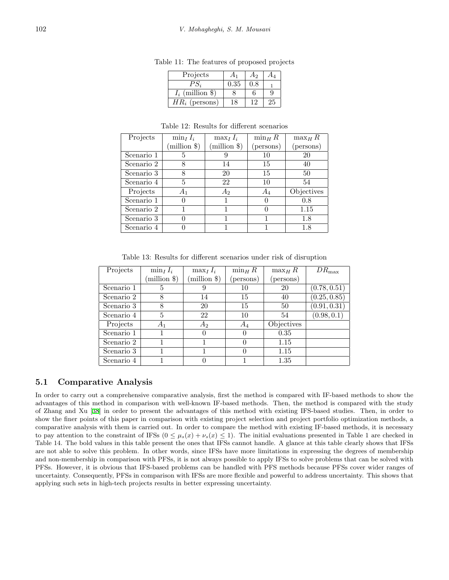| Projects           |      | Aэ |    |
|--------------------|------|----|----|
|                    | 0.35 |    |    |
| $I_i$ (million \$) |      |    |    |
| $HR_i$ (persons)   |      |    | Ζh |

Table 11: The features of proposed projects

Table 12: Results for different scenarios

| Projects   | $\min_I I_i$ | $\max_I I_i$                    | $\min_H R$ | $\max_{H} R$ |
|------------|--------------|---------------------------------|------------|--------------|
|            | (million \$) | $(\text{million }$ $\text{\$})$ | (persons)  | (persons)    |
| Scenario 1 | 5            |                                 | 10         | 20           |
| Scenario 2 | 8            | 14                              | 15         | 40           |
| Scenario 3 |              | 20                              | 15         | 50           |
| Scenario 4 | 5            | 22                              | 10         | 54           |
| Projects   | $A_1$        | $A_2$                           | $A_4$      | Objectives   |
| Scenario 1 |              |                                 |            | 0.8          |
| Scenario 2 |              |                                 |            | 1.15         |
| Scenario 3 |              |                                 |            | 1.8          |
| Scenario 4 |              |                                 |            | $1.8\,$      |

Table 13: Results for different scenarios under risk of disruption

| Projects   | $\min_I I_i$ | $\max_I I_i$   | $\min_H R$       | $\max_H R$ | $DR_{\text{max}}$ |
|------------|--------------|----------------|------------------|------------|-------------------|
|            | million \$)  | (million \$)   | (persons)        | (persons)  |                   |
| Scenario 1 | 5            |                | 10               | 20         | (0.78, 0.51)      |
| Scenario 2 | 8            | 14             | 15               | 40         | (0.25, 0.85)      |
| Scenario 3 | 8            | 20             | 15               | 50         | (0.91, 0.31)      |
| Scenario 4 | 5            | 22             | 10               | 54         | (0.98, 0.1)       |
| Projects   | $A_1$        | A <sub>2</sub> | $A_4$            | Objectives |                   |
| Scenario 1 |              |                | $\left( \right)$ | 0.35       |                   |
| Scenario 2 |              |                |                  | 1.15       |                   |
| Scenario 3 |              |                | $\mathbf{0}$     | 1.15       |                   |
| Scenario 4 |              |                |                  | 1.35       |                   |

#### **5.1 Comparative Analysis**

In order to carry out a comprehensive comparative analysis, first the method is compared with IF-based methods to show the advantages of this method in comparison with well-known IF-based methods. Then, the method is compared with the study of Zhang and Xu [[38](#page-17-4)] in order to present the advantages of this method with existing IFS-based studies. Then, in order to show the finer points of this paper in comparison with existing project selection and project portfolio optimization methods, a comparative analysis with them is carried out. In order to compare the method with existing IF-based methods, it is necessary to pay attention to the constraint of IFSs  $(0 \leq \mu_s(x) + \nu_s(x) \leq 1)$ . The initial evaluations presented in Table 1 are checked in Table 14. The bold values in this table present the ones that IFSs cannot handle. A glance at this table clearly shows that IFSs are not able to solve this problem. In other words, since IFSs have more limitations in expressing the degrees of membership and non-membership in comparison with PFSs, it is not always possible to apply IFSs to solve problems that can be solved with PFSs. However, it is obvious that IFS-based problems can be handled with PFS methods because PFSs cover wider ranges of uncertainty. Consequently, PFSs in comparison with IFSs are more flexible and powerful to address uncertainty. This shows that applying such sets in high-tech projects results in better expressing uncertainty.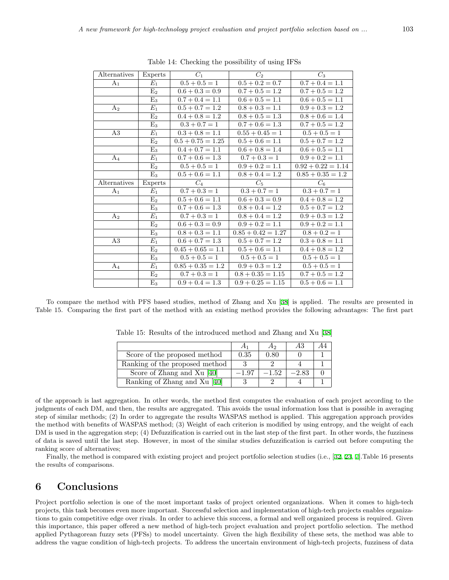| Alternatives   | Experts         | $C_1$               | $C_2$                | $C_3$                |
|----------------|-----------------|---------------------|----------------------|----------------------|
| A <sub>1</sub> | $E_1$           | $0.5 + 0.5 = 1$     | $0.5 + 0.2 = 0.7$    | $0.7 + 0.4 = 1.1$    |
|                | $E_2$           | $0.6 + 0.3 = 0.9$   | $0.7 + 0.5 = 1.2$    | $0.7 + 0.5 = 1.2$    |
|                | $E_3$           | $0.7 + 0.4 = 1.1$   | $0.6 + 0.5 = 1.1$    | $0.6 + 0.5 = 1.1$    |
| A <sub>2</sub> | $E_1$           | $0.5 + 0.7 = 1.2$   | $0.8 + 0.3 = 1.1$    | $0.9 + 0.3 = 1.2$    |
|                | $E_2$           | $0.4 + 0.8 = 1.2$   | $0.8 + 0.5 = 1.3$    | $0.8 + 0.6 = 1.4$    |
|                | $E_3$           | $0.3 + 0.7 = 1$     | $0.7 + 0.6 = 1.3$    | $0.7 + 0.5 = 1.2$    |
| A3             | $E_1$           | $0.3 + 0.8 = 1.1$   | $0.55 + 0.45 = 1$    | $0.5 + 0.5 = 1$      |
|                | E <sub>2</sub>  | $0.5 + 0.75 = 1.25$ | $0.5 + 0.6 = 1.1$    | $0.5 + 0.7 = 1.2$    |
|                | $E_3$           | $0.4 + 0.7 = 1.1$   | $0.6 + 0.8 = 1.4$    | $0.6 + 0.5 = 1.1$    |
| $A_4$          | $E_1$           | $0.7 + 0.6 = 1.3$   | $0.7 + 0.3 = 1$      | $0.9 + 0.2 = 1.1$    |
|                | E <sub>2</sub>  | $0.5 + 0.5 = 1$     | $0.9 + 0.2 = 1.1$    | $0.92 + 0.22 = 1.14$ |
|                | $E_3$           | $0.5 + 0.6 = 1.1$   | $0.8 + 0.4 = 1.2$    | $0.85 + 0.35 = 1.2$  |
| Alternatives   | Experts         | $C_4$               | $C_5$                | $C_6$                |
| A <sub>1</sub> | $E_1$           | $0.7 + 0.3 = 1$     | $0.3 + 0.7 = 1$      | $0.3 + 0.7 = 1$      |
|                | E <sub>2</sub>  | $0.5 + 0.6 = 1.1$   | $0.6 + 0.3 = 0.9$    | $0.4 + 0.8 = 1.2$    |
|                | $E_3$           | $0.7 + 0.6 = 1.3$   | $0.8 + 0.4 = 1.2$    | $0.5 + 0.7 = 1.2$    |
| A <sub>2</sub> | $E_1$           | $0.7 + 0.3 = 1$     | $0.8 + 0.4 = 1.2$    | $0.9 + 0.3 = 1.2$    |
|                | E <sub>2</sub>  | $0.6 + 0.3 = 0.9$   | $0.9 + 0.2 = 1.1$    | $0.9 + 0.2 = 1.1$    |
|                | $E_3$           | $0.8 + 0.3 = 1.1$   | $0.85 + 0.42 = 1.27$ | $0.8 + 0.2 = 1$      |
| A3             | $E_1$           | $0.6 + 0.7 = 1.3$   | $0.5 + 0.7 = 1.2$    | $0.3 + 0.8 = 1.1$    |
|                | E <sub>2</sub>  | $0.45 + 0.65 = 1.1$ | $0.5 + 0.6 = 1.1$    | $0.4 + 0.8 = 1.2$    |
|                | $E_3$           | $0.5 + 0.5 = 1$     | $0.5 + 0.5 = 1$      | $0.5 + 0.5 = 1$      |
| $A_4$          | $\mathcal{E}_1$ | $0.85 + 0.35 = 1.2$ | $0.9 + 0.3 = 1.2$    | $0.5 + 0.5 = 1$      |
|                | E <sub>2</sub>  | $0.7 + 0.3 = 1$     | $0.8 + 0.35 = 1.15$  | $0.7 + 0.5 = 1.2$    |
|                | $\mathrm{E}_3$  | $0.9 + 0.4 = 1.3$   | $0.9 + 0.25 = 1.15$  | $0.5 + 0.6 = 1.1$    |

Table 14: Checking the possibility of using IFSs

To compare the method with PFS based studies, method of Zhang and Xu [[38](#page-17-4)] is applied. The results are presented in Table 15. Comparing the first part of the method with an existing method provides the following advantages: The first part

|                                |      | $A_2$   | A:3     |  |
|--------------------------------|------|---------|---------|--|
| Score of the proposed method   | 0.35 | 0.80    |         |  |
| Ranking of the proposed method |      |         |         |  |
| Score of Zhang and Xu [40]     | 1.97 | $-1.52$ | $-2.83$ |  |
| Ranking of Zhang and Xu [40]   |      |         |         |  |

Table 15: Results of the introduced method and Zhang and Xu [[38\]](#page-17-4)

of the approach is last aggregation. In other words, the method first computes the evaluation of each project according to the judgments of each DM, and then, the results are aggregated. This avoids the usual information loss that is possible in averaging step of similar methods; (2) In order to aggregate the results WASPAS method is applied. This aggregation approach provides the method with benefits of WASPAS method; (3) Weight of each criterion is modified by using entropy, and the weight of each DM is used in the aggregation step; (4) Defuzzification is carried out in the last step of the first part. In other words, the fuzziness of data is saved until the last step. However, in most of the similar studies defuzzification is carried out before computing the ranking score of alternatives;

Finally, the method is compared with existing project and project portfolio selection studies (i.e., [[32](#page-16-3), [23,](#page-16-17) [7](#page-15-3)].Table 16 presents the results of comparisons.

## **6 Conclusions**

Project portfolio selection is one of the most important tasks of project oriented organizations. When it comes to high-tech projects, this task becomes even more important. Successful selection and implementation of high-tech projects enables organizations to gain competitive edge over rivals. In order to achieve this success, a formal and well organized process is required. Given this importance, this paper offered a new method of high-tech project evaluation and project portfolio selection. The method applied Pythagorean fuzzy sets (PFSs) to model uncertainty. Given the high flexibility of these sets, the method was able to address the vague condition of high-tech projects. To address the uncertain environment of high-tech projects, fuzziness of data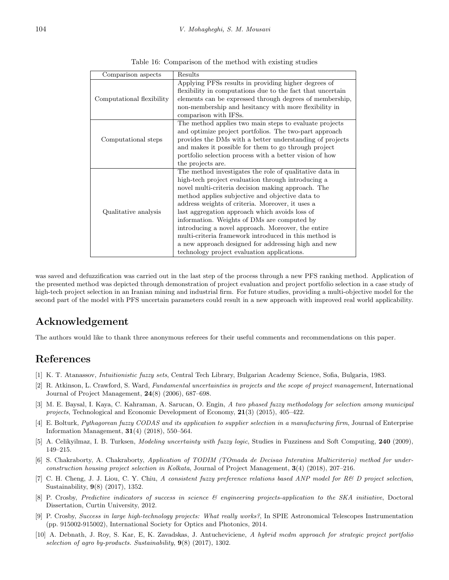| Comparison aspects        | Results                                                                                                                                                                                                                                                                                                                                                                                                                                                                                                                                                                                          |
|---------------------------|--------------------------------------------------------------------------------------------------------------------------------------------------------------------------------------------------------------------------------------------------------------------------------------------------------------------------------------------------------------------------------------------------------------------------------------------------------------------------------------------------------------------------------------------------------------------------------------------------|
| Computational flexibility | Applying PFSs results in providing higher degrees of<br>flexibility in computations due to the fact that uncertain<br>elements can be expressed through degrees of membership,<br>non-membership and hesitancy with more flexibility in<br>comparison with IFSs.                                                                                                                                                                                                                                                                                                                                 |
| Computational steps       | The method applies two main steps to evaluate projects<br>and optimize project portfolios. The two-part approach<br>provides the DMs with a better understanding of projects<br>and makes it possible for them to go through project<br>portfolio selection process with a better vision of how<br>the projects are.                                                                                                                                                                                                                                                                             |
| Qualitative analysis      | The method investigates the role of qualitative data in<br>high-tech project evaluation through introducing a<br>novel multi-criteria decision making approach. The<br>method applies subjective and objective data to<br>address weights of criteria. Moreover, it uses a<br>last aggregation approach which avoids loss of<br>information. Weights of DMs are computed by<br>introducing a novel approach. Moreover, the entire<br>multi-criteria framework introduced in this method is<br>a new approach designed for addressing high and new<br>technology project evaluation applications. |

Table 16: Comparison of the method with existing studies

was saved and defuzzification was carried out in the last step of the process through a new PFS ranking method. Application of the presented method was depicted through demonstration of project evaluation and project portfolio selection in a case study of high-tech project selection in an Iranian mining and industrial firm. For future studies, providing a multi-objective model for the second part of the model with PFS uncertain parameters could result in a new approach with improved real world applicability.

# **Acknowledgement**

The authors would like to thank three anonymous referees for their useful comments and recommendations on this paper.

# **References**

- <span id="page-15-8"></span>[1] K. T. Atanassov, *Intuitionistic fuzzy sets*, Central Tech Library, Bulgarian Academy Science, Sofia, Bulgaria, 1983.
- <span id="page-15-2"></span>[2] R. Atkinson, L. Crawford, S. Ward, *Fundamental uncertainties in projects and the scope of project management*, International Journal of Project Management, **24**(8) (2006), 687–698.
- <span id="page-15-4"></span>[3] M. E. Baysal, I. Kaya, C. Kahraman, A. Sarucan, O. Engin, *A two phased fuzzy methodology for selection among municipal projects*, Technological and Economic Development of Economy, **21**(3) (2015), 405–422.
- <span id="page-15-9"></span>[4] E. Bolturk, *Pythagorean fuzzy CODAS and its application to supplier selection in a manufacturing firm*, Journal of Enterprise Information Management, **31**(4) (2018), 550–564.
- <span id="page-15-7"></span>[5] A. Celikyilmaz, I. B. Turksen, *Modeling uncertainty with fuzzy logic*, Studies in Fuzziness and Soft Computing, **240** (2009), 149–215.
- <span id="page-15-6"></span>[6] S. Chakraborty, A. Chakraborty, *Application of TODIM (TOmada de Decisao Interativa Multicriterio) method for underconstruction housing project selection in Kolkata*, Journal of Project Management, **3**(4) (2018), 207–216.
- <span id="page-15-3"></span>[7] C. H. Cheng, J. J. Liou, C. Y. Chiu, *A consistent fuzzy preference relations based ANP model for R& D project selection*, Sustainability, **9**(8) (2017), 1352.
- <span id="page-15-1"></span>[8] P. Crosby, *Predictive indicators of success in science & engineering projects-application to the SKA initiative*, Doctoral Dissertation, Curtin University, 2012.
- <span id="page-15-0"></span>[9] P. Crosby, *Success in large high-technology projects: What really works?*, In SPIE Astronomical Telescopes Instrumentation (pp. 915002-915002), International Society for Optics and Photonics, 2014.
- <span id="page-15-5"></span>[10] A. Debnath, J. Roy, S. Kar, E, K. Zavadskas, J. Antucheviciene, *A hybrid mcdm approach for strategic project portfolio selection of agro by-products. Sustainability*, **9**(8) (2017), 1302.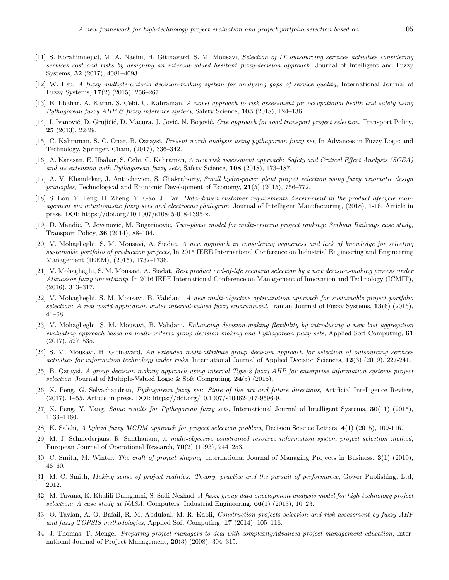- <span id="page-16-1"></span>[11] S. Ebrahimnejad, M. A. Naeini, H. Gitinavard, S. M. Mousavi, *Selection of IT outsourcing services activities considering services cost and risks by designing an interval-valued hesitant fuzzy-decision approach*, Journal of Intelligent and Fuzzy Systems, **32** (2017), 4081–4093.
- <span id="page-16-14"></span>[12] W. Hsu, *A fuzzy multiple-criteria decision-making system for analyzing gaps of service quality*, International Journal of Fuzzy Systems, **17**(2) (2015), 256–267.
- <span id="page-16-18"></span>[13] E. Ilbahar, A. Karan, S. Cebi, C. Kahraman, *A novel approach to risk assessment for occupational health and safety using Pythagorean fuzzy AHP & fuzzy inference system*, Safety Science, **103** (2018), 124–136.
- <span id="page-16-11"></span>[14] I. Ivanović, D. Grujičić, D. Macura, J. Jović, N. Bojović, *One approach for road transport project selection*, Transport Policy, **25** (2013), 22-29.
- <span id="page-16-16"></span>[15] C. Kahraman, S. C. Onar, B. Oztaysi, *Present worth analysis using pythagorean fuzzy set*, In Advances in Fuzzy Logic and Technology, Springer, Cham, (2017), 336–342.
- <span id="page-16-15"></span>[16] A. Karasan, E. Ilbahar, S. Cebi, C. Kahraman, *A new risk assessment approach: Safety and Critical Effect Analysis (SCEA) and its extension with Pythagorean fuzzy sets*, Safety Science, **108** (2018), 173–187.
- <span id="page-16-9"></span>[17] A. V. Khandekar, J. Antuchevien, S. Chakraborty, *Small hydro-power plant project selection using fuzzy axiomatic design principles*, Technological and Economic Development of Economy, **21**(5) (2015), 756–772.
- <span id="page-16-21"></span>[18] S. Lou, Y. Feng, H. Zheng, Y. Gao, J. Tan, *Data-driven customer requirements discernment in the product lifecycle management via intuitionistic fuzzy sets and electroencephalogram*, Journal of Intelligent Manufacturing, (2018), 1-16. Article in press. DOI: https://doi.org/10.1007/s10845-018-1395-x.
- <span id="page-16-10"></span>[19] D. Mandic, P. Jovanovic, M. Bugarinovic, *Two-phase model for multi-criteria project ranking: Serbian Railways case study*, Transport Policy, **36** (2014), 88–104.
- <span id="page-16-20"></span>[20] V. Mohagheghi, S. M. Mousavi, A. Siadat, *A new approach in considering vagueness and lack of knowledge for selecting sustainable portfolio of production projects*, In 2015 IEEE International Conference on Industrial Engineering and Engineering Management (IEEM), (2015), 1732–1736.
- [21] V. Mohagheghi, S. M. Mousavi, A. Siadat, *Best product end-of-life scenario selection by a new decision-making process under Atanassov fuzzy uncertainty*, In 2016 IEEE International Conference on Management of Innovation and Technology (ICMIT), (2016), 313–317.
- <span id="page-16-7"></span>[22] V. Mohagheghi, S. M. Mousavi, B. Vahdani, *A new multi-objective optimization approach for sustainable project portfolio selection: A real world application under interval-valued fuzzy environment*, Iranian Journal of Fuzzy Systems, **13**(6) (2016), 41–68.
- <span id="page-16-17"></span>[23] V. Mohagheghi, S. M. Mousavi, B. Vahdani, *Enhancing decision-making flexibility by introducing a new last aggregation evaluating approach based on multi-criteria group decision making and Pythagorean fuzzy sets*, Applied Soft Computing, **61** (2017), 527–535.
- <span id="page-16-2"></span>[24] S. M. Mousavi, H. Gitinavard, *An extended multi-attribute group decision approach for selection of outsourcing services activities for information technology under risks*, International Journal of Applied Decision Sciences, **12**(3) (2019), 227-241.
- <span id="page-16-8"></span>[25] B. Oztaysi, *A group decision making approach using interval Type-2 fuzzy AHP for enterprise information systems project selection*, Journal of Multiple-Valued Logic & Soft Computing, **24**(5) (2015).
- <span id="page-16-19"></span>[26] X. Peng, G. Selvachandran, *Pythagorean fuzzy set: State of the art and future directions*, Artificial Intelligence Review, (2017), 1–55. Article in press. DOI: https://doi.org/10.1007/s10462-017-9596-9.
- <span id="page-16-22"></span>[27] X. Peng, Y. Yang, *Some results for Pythagorean fuzzy sets*, International Journal of Intelligent Systems, **30**(11) (2015), 1133–1160.
- <span id="page-16-13"></span>[28] K. Salehi, *A hybrid fuzzy MCDM approach for project selection problem*, Decision Science Letters, **4**(1) (2015), 109-116.
- <span id="page-16-0"></span>[29] M. J. Schniederjans, R. Santhanam, *A multi-objective constrained resource information system project selection method*, European Journal of Operational Research, **70**(2) (1993), 244–253.
- <span id="page-16-5"></span>[30] C. Smith, M. Winter, *The craft of project shaping*, International Journal of Managing Projects in Business, **3**(1) (2010), 46–60.
- <span id="page-16-6"></span>[31] M. C. Smith, *Making sense of project realities: Theory, practice and the pursuit of performance*, Gower Publishing, Ltd, 2012.
- <span id="page-16-3"></span>[32] M. Tavana, K. Khalili-Damghani, S. Sadi-Nezhad, *A fuzzy group data envelopment analysis model for high-technology project selection: A case study at NASA*, Computers Industrial Engineering, **66**(1) (2013), 10–23.
- <span id="page-16-12"></span>[33] O. Taylan, A. O. Bafail, R. M. Abdulaal, M. R. Kabli, *Construction projects selection and risk assessment by fuzzy AHP and fuzzy TOPSIS methodologies*, Applied Soft Computing, **17** (2014), 105–116.
- <span id="page-16-4"></span>[34] J. Thomas, T. Mengel, *Preparing project managers to deal with complexityAdvanced project management education*, International Journal of Project Management, **26**(3) (2008), 304–315.